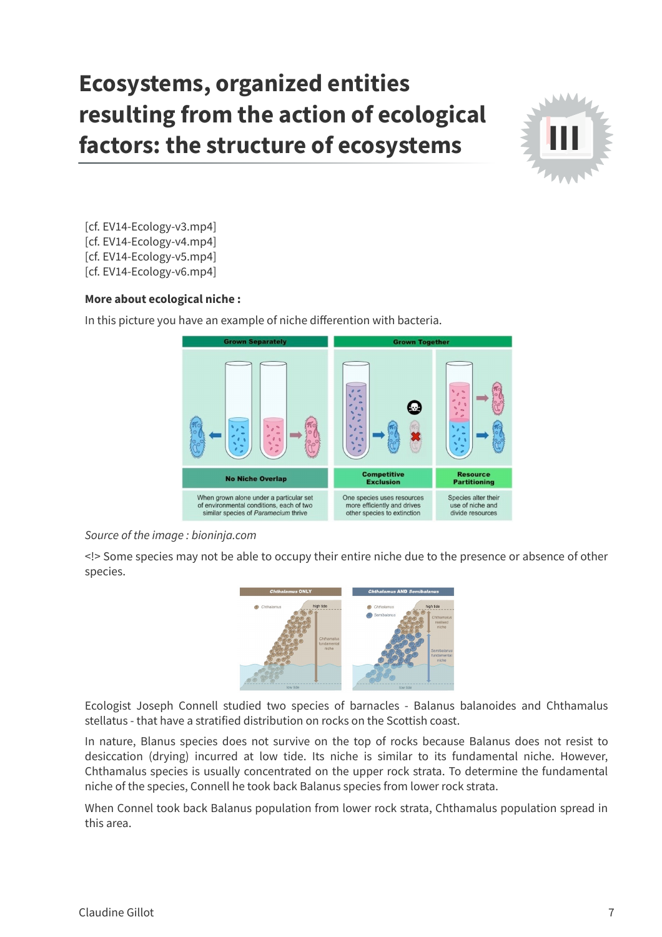## **Ecosystems, organized entities resulting from the action of ecological factors: the structure of ecosystems**



[cf. EV14-Ecology-v3.mp4]

- [cf. EV14-Ecology-v4.mp4]
- [cf. EV14-Ecology-v5.mp4]
- [cf. EV14-Ecology-v6.mp4]

## **More about ecological niche :**

In this picture you have an example of niche differention with bacteria.



## Source of the image : bioninja.com

<!> Some species may not be able to occupy their entire niche due to the presence or absence of other species.



Ecologist Joseph Connell studied two species of barnacles - Balanus balanoides and Chthamalus stellatus - that have a stratified distribution on rocks on the Scottish coast.

In nature, Blanus species does not survive on the top of rocks because Balanus does not resist to desiccation (drying) incurred at low tide. Its niche is similar to its fundamental niche. However, Chthamalus species is usually concentrated on the upper rock strata. To determine the fundamental niche of the species, Connell he took back Balanus species from lower rock strata.

When Connel took back Balanus population from lower rock strata, Chthamalus population spread in this area.